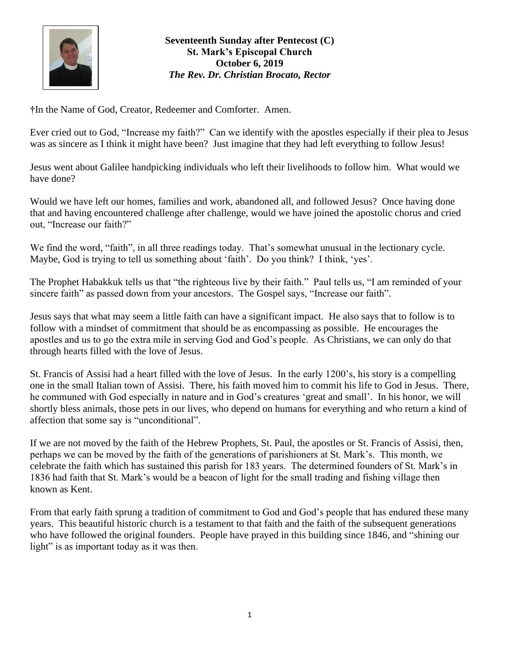

## **Seventeenth Sunday after Pentecost (C) St. Mark's Episcopal Church October 6, 2019** *The Rev. Dr. Christian Brocato, Rector*

**†**In the Name of God, Creator, Redeemer and Comforter. Amen.

Ever cried out to God, "Increase my faith?" Can we identify with the apostles especially if their plea to Jesus was as sincere as I think it might have been? Just imagine that they had left everything to follow Jesus!

Jesus went about Galilee handpicking individuals who left their livelihoods to follow him. What would we have done?

Would we have left our homes, families and work, abandoned all, and followed Jesus? Once having done that and having encountered challenge after challenge, would we have joined the apostolic chorus and cried out, "Increase our faith?"

We find the word, "faith", in all three readings today. That's somewhat unusual in the lectionary cycle. Maybe, God is trying to tell us something about 'faith'. Do you think? I think, 'yes'.

The Prophet Habakkuk tells us that "the righteous live by their faith." Paul tells us, "I am reminded of your sincere faith" as passed down from your ancestors. The Gospel says, "Increase our faith".

Jesus says that what may seem a little faith can have a significant impact. He also says that to follow is to follow with a mindset of commitment that should be as encompassing as possible. He encourages the apostles and us to go the extra mile in serving God and God's people. As Christians, we can only do that through hearts filled with the love of Jesus.

St. Francis of Assisi had a heart filled with the love of Jesus. In the early 1200's, his story is a compelling one in the small Italian town of Assisi. There, his faith moved him to commit his life to God in Jesus. There, he communed with God especially in nature and in God's creatures 'great and small'. In his honor, we will shortly bless animals, those pets in our lives, who depend on humans for everything and who return a kind of affection that some say is "unconditional".

If we are not moved by the faith of the Hebrew Prophets, St. Paul, the apostles or St. Francis of Assisi, then, perhaps we can be moved by the faith of the generations of parishioners at St. Mark's. This month, we celebrate the faith which has sustained this parish for 183 years. The determined founders of St. Mark's in 1836 had faith that St. Mark's would be a beacon of light for the small trading and fishing village then known as Kent.

From that early faith sprung a tradition of commitment to God and God's people that has endured these many years. This beautiful historic church is a testament to that faith and the faith of the subsequent generations who have followed the original founders. People have prayed in this building since 1846, and "shining our light" is as important today as it was then.